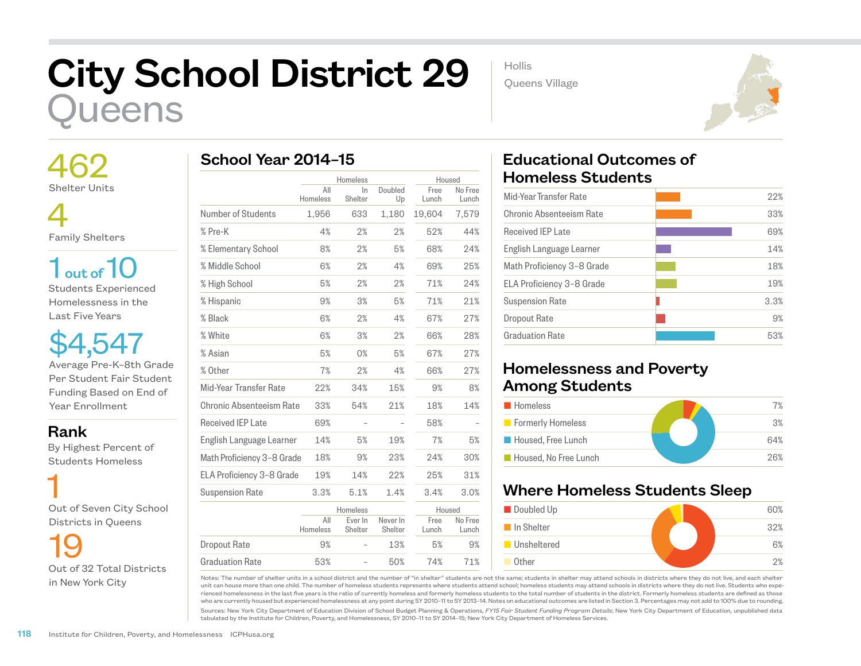## City School District 29 ueens

 462 Shelter Units

 4 Family Shelters

 $1<sub>out of</sub>10$ Students Experienced Homelessness in the Last Five Years

\$4,547 Average Pre-K–8th Grade Per Student Fair Student Funding Based on End of Year Enrollment

Rank

 By Highest Percent of Students Homeless

 1 Out of Seven City School Districts in Queens

19 Out of 32 Total Districts in New York City

|                            |                 | Homeless           |                     | Housed        |                  |
|----------------------------|-----------------|--------------------|---------------------|---------------|------------------|
|                            | All<br>Homeless | $\ln$<br>Shelter   | Doubled<br>Up       | Free<br>Lunch | No Free<br>Lunch |
| Number of Students         | 1,956           | 633                | 1,180               | 19,604        | 7,579            |
| % Pre-K                    | 4%              | 2%                 | 2%                  | 52%           | 44%              |
| % Elementary School        | 8%              | 2%                 | 5%                  | 68%           | 24%              |
| % Middle School            | 6%              | 2%                 | 4%                  | 69%           | 25%              |
| % High School              | 5%              | 2%                 | 2%                  | 71%           | 24%              |
| % Hispanic                 | 9%              | 3%                 | 5%                  | 71%           | 21%              |
| % Black                    | 6%              | 2%                 | 4%                  | 67%           | 27%              |
| % White                    | 6%              | 3%                 | 2%                  | 66%           | 28%              |
| % Asian                    | 5%              | 0%                 | 5%                  | 67%           | 27%              |
| % Other                    | 7%              | 2%                 | 4%                  | 66%           | 27%              |
| Mid-Year Transfer Rate     | 22%             | 34%                | 15%                 | 9%            | 8%               |
| Chronic Absenteeism Rate   | 33%             | 54%                | 21%                 | 18%           | 14%              |
| Received IEP Late          | 69%             |                    |                     | 58%           |                  |
| English Language Learner   | 14%             | 5%                 | 19%                 | 7%            | 5%               |
| Math Proficiency 3-8 Grade | 18%             | 9%                 | 23%                 | 24%           | 30%              |
| ELA Proficiency 3-8 Grade  | 19%             | 14%                | 22%                 | 25%           | 31%              |
| <b>Suspension Rate</b>     | 3.3%            | 5.1%               | 1.4%                | 3.4%          | 3.0%             |
|                            |                 | Homeless           |                     | Housed        |                  |
|                            | All<br>Homeless | Ever In<br>Shelter | Never In<br>Shelter | Free<br>Lunch | No Free<br>Lunch |
| <b>Dropout Rate</b>        | 9%              |                    | 13%                 | 5%            | 9%               |
| Graduation Rate            | 53%             |                    | 50%                 | 74%           | 71%              |

 Educational Outcomes of Homeless Students

Hollis

Queens Village

| Mid-Year Transfer Rate     | 22%  |
|----------------------------|------|
| Chronic Absenteeism Rate   | 33%  |
| <b>Received IEP Late</b>   | 69%  |
| English Language Learner   | 14%  |
| Math Proficiency 3-8 Grade | 18%  |
| ELA Proficiency 3-8 Grade  | 19%  |
| <b>Suspension Rate</b>     | 3.3% |
| Dropout Rate               | 9%   |
| <b>Graduation Rate</b>     | 53%  |
|                            |      |

## Homelessness and Poverty Among Students

| <b>Homeless</b>       | 7%  |
|-----------------------|-----|
| Formerly Homeless     | 3%  |
| Housed, Free Lunch    | 64% |
| Housed. No Free Lunch | 26% |

## Where Homeless Students Sleep



Notes: The number of shelter units in a school district and the number of "in shelter" students are not the same; students in shelter may attend schools in districts where they do not live, and each shelter unit can house more than one child. The number of homeless students represents where students attend school; homeless students may attend schools in districts where they do not live. Students who experienced homelessness in the last five years is the ratio of currently homeless and formerly homeless students to the total number of students in the district. Formerly homeless students are defined as those who are currently housed but experienced homelessness at any point during SY 2010–11 to SY 2013–14. Notes on educational outcomes are listed in Section 3. Percentages may not add to 100% due to rounding.

Sources: New York City Department of Education Division of School Budget Planning & Operations, *FY15 Fair Student Funding Program Details*; New York City Department of Education, unpublished data tabulated by the Institute for Children, Poverty, and Homelessness, SY 2010–11 to SY 2014–15; New York City Department of Homeless Services.